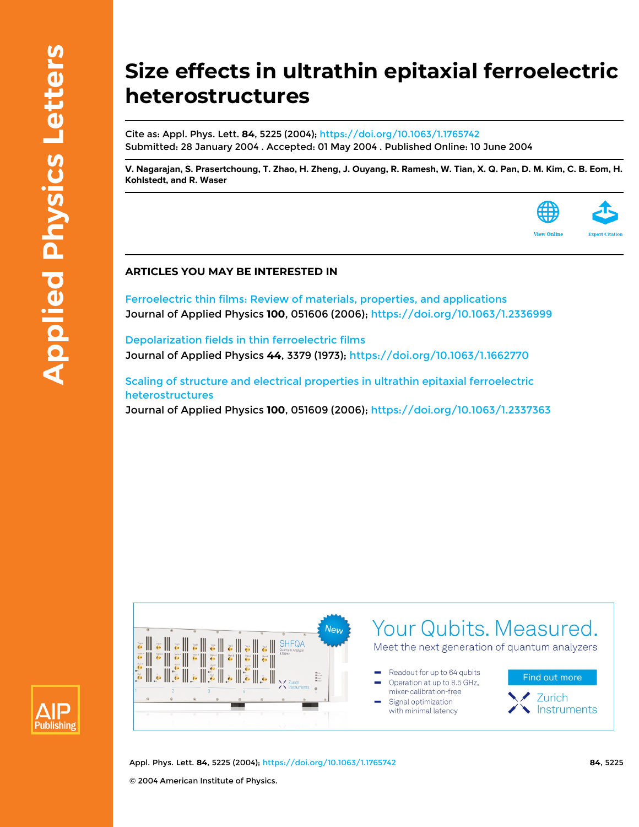## **Size effects in ultrathin epitaxial ferroelectric heterostructures**

Cite as: Appl. Phys. Lett. **84**, 5225 (2004);<https://doi.org/10.1063/1.1765742> Submitted: 28 January 2004 . Accepted: 01 May 2004 . Published Online: 10 June 2004

[V. Nagarajan,](https://aip.scitation.org/author/Nagarajan%2C+V) [S. Prasertchoung](https://aip.scitation.org/author/Prasertchoung%2C+S), [T. Zhao](https://aip.scitation.org/author/Zhao%2C+T), [H. Zheng](https://aip.scitation.org/author/Zheng%2C+H), [J. Ouyang,](https://aip.scitation.org/author/Ouyang%2C+J) [R. Ramesh,](https://aip.scitation.org/author/Ramesh%2C+R) [W. Tian,](https://aip.scitation.org/author/Tian%2C+W) [X. Q. Pan](https://aip.scitation.org/author/Pan%2C+X+Q), [D. M. Kim](https://aip.scitation.org/author/Kim%2C+D+M), [C. B. Eom](https://aip.scitation.org/author/Eom%2C+C+B), [H.](https://aip.scitation.org/author/Kohlstedt%2C+H) **[Kohlstedt](https://aip.scitation.org/author/Kohlstedt%2C+H), and [R. Waser](https://aip.scitation.org/author/Waser%2C+R)**



## **ARTICLES YOU MAY BE INTERESTED IN**

[Ferroelectric thin films: Review of materials, properties, and applications](https://aip.scitation.org/doi/10.1063/1.2336999) Journal of Applied Physics **100**, 051606 (2006); <https://doi.org/10.1063/1.2336999>

[Depolarization fields in thin ferroelectric films](https://aip.scitation.org/doi/10.1063/1.1662770) Journal of Applied Physics **44**, 3379 (1973);<https://doi.org/10.1063/1.1662770>

[Scaling of structure and electrical properties in ultrathin epitaxial ferroelectric](https://aip.scitation.org/doi/10.1063/1.2337363) [heterostructures](https://aip.scitation.org/doi/10.1063/1.2337363) Journal of Applied Physics **100**, 051609 (2006); <https://doi.org/10.1063/1.2337363>





Appl. Phys. Lett. **84**, 5225 (2004); <https://doi.org/10.1063/1.1765742> **84**, 5225 © 2004 American Institute of Physics.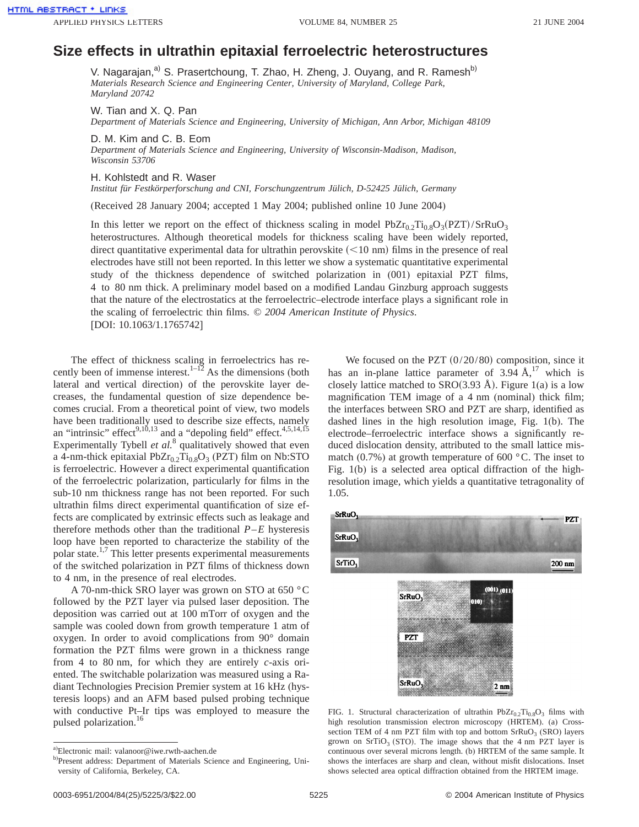## **Size effects in ultrathin epitaxial ferroelectric heterostructures**

V. Nagarajan,<sup>a)</sup> S. Prasertchoung, T. Zhao, H. Zheng, J. Ouyang, and R. Ramesh<sup>b)</sup> *Materials Research Science and Engineering Center, University of Maryland, College Park, Maryland 20742*

W. Tian and X. Q. Pan

*Department of Materials Science and Engineering, University of Michigan, Ann Arbor, Michigan 48109*

D. M. Kim and C. B. Eom

*Department of Materials Science and Engineering, University of Wisconsin-Madison, Madison, Wisconsin 53706*

H. Kohlstedt and R. Waser

*Institut für Festkörperforschung and CNI, Forschungzentrum Jülich, D-52425 Jülich, Germany*

(Received 28 January 2004; accepted 1 May 2004; published online 10 June 2004)

In this letter we report on the effect of thickness scaling in model  $PbZr_0$ <sub>2</sub>Ti<sub>0.8</sub>O<sub>3</sub>(PZT)/SrRuO<sub>3</sub> heterostructures. Although theoretical models for thickness scaling have been widely reported, direct quantitative experimental data for ultrathin perovskite  $(<10 \text{ nm})$  films in the presence of real electrodes have still not been reported. In this letter we show a systematic quantitative experimental study of the thickness dependence of switched polarization in (001) epitaxial PZT films, 4 to 80 nm thick. A preliminary model based on a modified Landau Ginzburg approach suggests that the nature of the electrostatics at the ferroelectric–electrode interface plays a significant role in the scaling of ferroelectric thin films. © *2004 American Institute of Physics*. [DOI: 10.1063/1.1765742]

The effect of thickness scaling in ferroelectrics has recently been of immense interest.<sup>1–12</sup> As the dimensions (both lateral and vertical direction) of the perovskite layer decreases, the fundamental question of size dependence becomes crucial. From a theoretical point of view, two models have been traditionally used to describe size effects, namely an "intrinsic" effect $9,10,13$  and a "depoling field" effect.<sup>4,5,14,15</sup> Experimentally Tybell *et al.*<sup>8</sup> qualitatively showed that even a 4-nm-thick epitaxial  $PbZr_{0.2}Ti_{0.8}O_3$  (PZT) film on Nb:STO is ferroelectric. However a direct experimental quantification of the ferroelectric polarization, particularly for films in the sub-10 nm thickness range has not been reported. For such ultrathin films direct experimental quantification of size effects are complicated by extrinsic effects such as leakage and therefore methods other than the traditional  $P$ – $E$  hysteresis loop have been reported to characterize the stability of the polar state. $1,7$  This letter presents experimental measurements of the switched polarization in PZT films of thickness down to 4 nm, in the presence of real electrodes.

A 70-nm-thick SRO layer was grown on STO at 650 °C followed by the PZT layer via pulsed laser deposition. The deposition was carried out at 100 mTorr of oxygen and the sample was cooled down from growth temperature 1 atm of oxygen. In order to avoid complications from 90° domain formation the PZT films were grown in a thickness range from 4 to 80 nm, for which they are entirely *c*-axis oriented. The switchable polarization was measured using a Radiant Technologies Precision Premier system at 16 kHz (hysteresis loops) and an AFM based pulsed probing technique with conductive Pt–Ir tips was employed to measure the pulsed polarization.<sup>16</sup>

We focused on the PZT  $(0/20/80)$  composition, since it has an in-plane lattice parameter of  $3.94 \text{ Å}^{17}$  which is closely lattice matched to SRO $(3.93 \text{ Å})$ . Figure 1(a) is a low magnification TEM image of a 4 nm (nominal) thick film; the interfaces between SRO and PZT are sharp, identified as dashed lines in the high resolution image, Fig. 1(b). The electrode–ferroelectric interface shows a significantly reduced dislocation density, attributed to the small lattice mismatch (0.7%) at growth temperature of 600  $^{\circ}$ C. The inset to Fig. 1(b) is a selected area optical diffraction of the highresolution image, which yields a quantitative tetragonality of 1.05.



FIG. 1. Structural characterization of ultrathin  $PbZr_{0.2}Ti_{0.8}O_3$  films with high resolution transmission electron microscopy (HRTEM). (a) Crosssection TEM of 4 nm PZT film with top and bottom  $SrRuO<sub>3</sub>$  (SRO) layers grown on SrTiO<sub>3</sub> (STO). The image shows that the 4 nm PZT layer is continuous over several microns length. (b) HRTEM of the same sample. It shows the interfaces are sharp and clean, without misfit dislocations. Inset shows selected area optical diffraction obtained from the HRTEM image.

a) Electronic mail: valanoor@iwe.rwth-aachen.de

b)Present address: Department of Materials Science and Engineering, University of California, Berkeley, CA.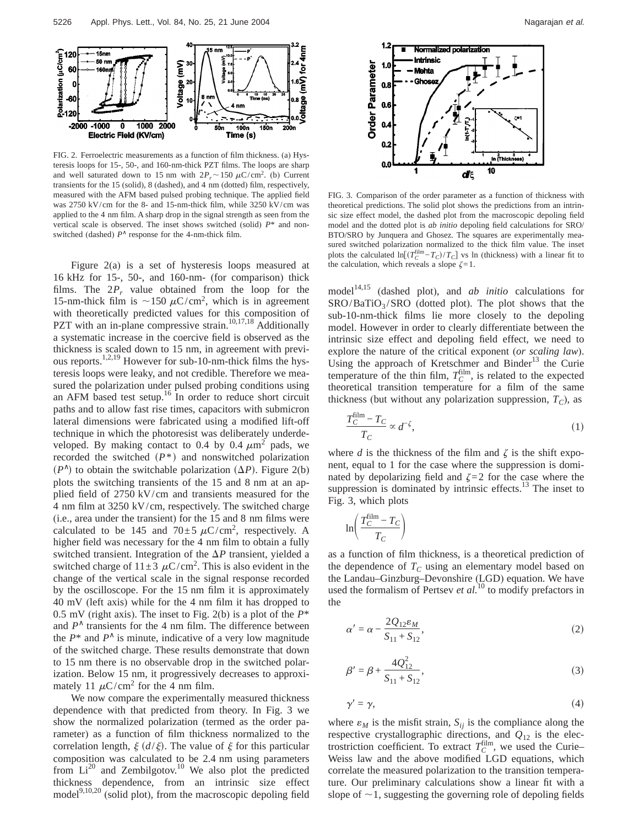

FIG. 2. Ferroelectric measurements as a function of film thickness. (a) Hysteresis loops for 15-, 50-, and 160-nm-thick PZT films. The loops are sharp and well saturated down to 15 nm with  $2P_r \sim 150 \mu C/cm^2$ . (b) Current transients for the 15 (solid), 8 (dashed), and 4 nm (dotted) film, respectively, measured with the AFM based pulsed probing technique. The applied field was 2750 kV/cm for the 8- and 15-nm-thick film, while 3250 kV/cm was applied to the 4 nm film. A sharp drop in the signal strength as seen from the vertical scale is observed. The inset shows switched (solid) *P*\* and nonswitched (dashed) *P*<sup>∧</sup> response for the 4-nm-thick film.

Figure 2(a) is a set of hysteresis loops measured at 16 kHz for 15-, 50-, and 160-nm- (for comparison) thick films. The  $2P_r$  value obtained from the loop for the 15-nm-thick film is  $\sim$ 150  $\mu$ C/cm<sup>2</sup>, which is in agreement with theoretically predicted values for this composition of PZT with an in-plane compressive strain.<sup>10,17,18</sup> Additionally a systematic increase in the coercive field is observed as the thickness is scaled down to 15 nm, in agreement with previous reports.<sup>1,2,19</sup> However for sub-10-nm-thick films the hysteresis loops were leaky, and not credible. Therefore we measured the polarization under pulsed probing conditions using an AFM based test setup.16 In order to reduce short circuit paths and to allow fast rise times, capacitors with submicron lateral dimensions were fabricated using a modified lift-off technique in which the photoresist was deliberately underdeveloped. By making contact to 0.4 by 0.4  $\mu$ m<sup>2</sup> pads, we recorded the switched  $(P^*)$  and nonswitched polarization  $(P^{\wedge})$  to obtain the switchable polarization  $(\Delta P)$ . Figure 2(b) plots the switching transients of the 15 and 8 nm at an applied field of 2750 kV/cm and transients measured for the 4 nm film at 3250 kV/cm, respectively. The switched charge (i.e., area under the transient) for the 15 and 8 nm films were calculated to be 145 and  $70 \pm 5 \mu C/cm^2$ , respectively. A higher field was necessary for the 4 nm film to obtain a fully switched transient. Integration of the  $\Delta P$  transient, yielded a switched charge of  $11 \pm 3 \mu C/cm^2$ . This is also evident in the change of the vertical scale in the signal response recorded by the oscilloscope. For the 15 nm film it is approximately 40 mV (left axis) while for the 4 nm film it has dropped to 0.5 mV (right axis). The inset to Fig. 2(b) is a plot of the *P*\* and  $P^{\wedge}$  transients for the 4 nm film. The difference between the  $P^*$  and  $P^{\wedge}$  is minute, indicative of a very low magnitude of the switched charge. These results demonstrate that down to 15 nm there is no observable drop in the switched polarization. Below 15 nm, it progressively decreases to approximately 11  $\mu$ C/cm<sup>2</sup> for the 4 nm film.

We now compare the experimentally measured thickness dependence with that predicted from theory. In Fig. 3 we show the normalized polarization (termed as the order parameter) as a function of film thickness normalized to the correlation length,  $\xi$  ( $d/\xi$ ). The value of  $\xi$  for this particular composition was calculated to be 2.4 nm using parameters from  $Li^{20}$  and Zembilgotov.<sup>10</sup> We also plot the predicted thickness dependence, from an intrinsic size effect model $9,10,20$  (solid plot), from the macroscopic depoling field



FIG. 3. Comparison of the order parameter as a function of thickness with theoretical predictions. The solid plot shows the predictions from an intrinsic size effect model, the dashed plot from the macroscopic depoling field model and the dotted plot is *ab initio* depoling field calculations for SRO/ BTO/SRO by Junquera and Ghosez. The squares are experimentally measured switched polarization normalized to the thick film value. The inset plots the calculated  $\ln[(T_C^{\text{film}} - T_C)/T_C]$  vs ln (thickness) with a linear fit to the calculation, which reveals a slope  $\zeta = 1$ .

model<sup>14,15</sup> (dashed plot), and *ab initio* calculations for  $SRO/BaTiO<sub>3</sub>/SRO$  (dotted plot). The plot shows that the sub-10-nm-thick films lie more closely to the depoling model. However in order to clearly differentiate between the intrinsic size effect and depoling field effect, we need to explore the nature of the critical exponent (*or scaling law*). Using the approach of Kretschmer and Binder $13$  the Curie temperature of the thin film,  $T_C^{\text{film}}$ , is related to the expected theoretical transition temperature for a film of the same thickness (but without any polarization suppression,  $T_C$ ), as

$$
\frac{T_C^{\text{film}} - T_C}{T_C} \propto d^{-\zeta},\tag{1}
$$

where *d* is the thickness of the film and  $\zeta$  is the shift exponent, equal to 1 for the case where the suppression is dominated by depolarizing field and  $\zeta = 2$  for the case where the suppression is dominated by intrinsic effects. $^{13}$  The inset to Fig. 3, which plots

$$
\ln\left(\frac{T_C^{\text{film}} - T_C}{T_C}\right)
$$

as a function of film thickness, is a theoretical prediction of the dependence of  $T_c$  using an elementary model based on the Landau–Ginzburg–Devonshire (LGD) equation. We have used the formalism of Pertsev *et al.*<sup>10</sup> to modify prefactors in the

$$
\alpha' = \alpha - \frac{2Q_{12}\varepsilon_M}{S_{11} + S_{12}},\tag{2}
$$

$$
\beta' = \beta + \frac{4Q_{12}^2}{S_{11} + S_{12}},\tag{3}
$$

$$
\gamma' = \gamma,\tag{4}
$$

where  $\varepsilon_M$  is the misfit strain,  $S_{ij}$  is the compliance along the respective crystallographic directions, and  $Q_{12}$  is the electrostriction coefficient. To extract  $T_C^{\text{film}}$ , we used the Curie– Weiss law and the above modified LGD equations, which correlate the measured polarization to the transition temperature. Our preliminary calculations show a linear fit with a slope of  $\sim$ 1, suggesting the governing role of depoling fields